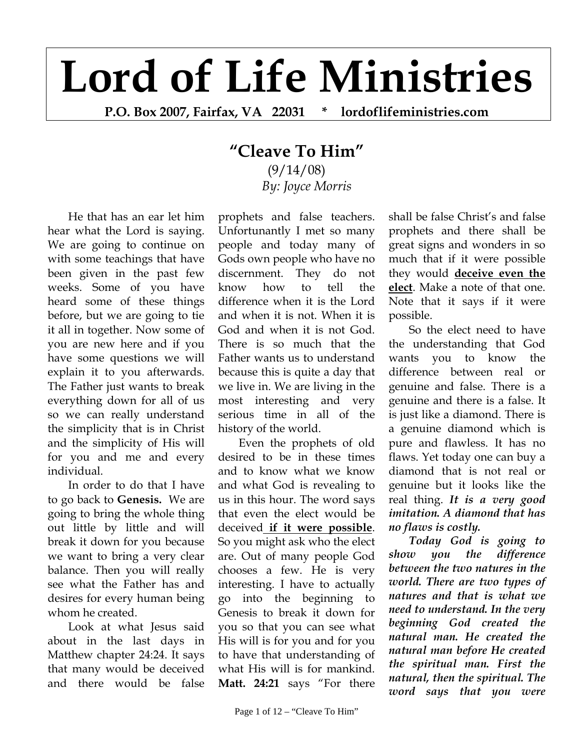## **Lord of Life Ministries**

**P.O. Box 2007, Fairfax, VA 22031 \* lordoflifeministries.com** 

## **"Cleave To Him"**

(9/14/08) *By: Joyce Morris*

He that has an ear let him hear what the Lord is saying. We are going to continue on with some teachings that have been given in the past few weeks. Some of you have heard some of these things before, but we are going to tie it all in together. Now some of you are new here and if you have some questions we will explain it to you afterwards. The Father just wants to break everything down for all of us so we can really understand the simplicity that is in Christ and the simplicity of His will for you and me and every individual.

In order to do that I have to go back to **Genesis.** We are going to bring the whole thing out little by little and will break it down for you because we want to bring a very clear balance. Then you will really see what the Father has and desires for every human being whom he created.

Look at what Jesus said about in the last days in Matthew chapter 24:24. It says that many would be deceived and there would be false

prophets and false teachers. Unfortunantly I met so many people and today many of Gods own people who have no discernment. They do not know how to tell the difference when it is the Lord and when it is not. When it is God and when it is not God. There is so much that the Father wants us to understand because this is quite a day that we live in. We are living in the most interesting and very serious time in all of the history of the world.

Even the prophets of old desired to be in these times and to know what we know and what God is revealing to us in this hour. The word says that even the elect would be deceived **if it were possible**. So you might ask who the elect are. Out of many people God chooses a few. He is very interesting. I have to actually go into the beginning to Genesis to break it down for you so that you can see what His will is for you and for you to have that understanding of what His will is for mankind. **Matt. 24:21** says "For there

shall be false Christ's and false prophets and there shall be great signs and wonders in so much that if it were possible they would **deceive even the elect**. Make a note of that one. Note that it says if it were possible.

So the elect need to have the understanding that God wants you to know the difference between real or genuine and false. There is a genuine and there is a false. It is just like a diamond. There is a genuine diamond which is pure and flawless. It has no flaws. Yet today one can buy a diamond that is not real or genuine but it looks like the real thing. *It is a very good imitation. A diamond that has no flaws is costly.* 

*Today God is going to show you the difference between the two natures in the world. There are two types of natures and that is what we need to understand. In the very beginning God created the natural man. He created the natural man before He created the spiritual man. First the natural, then the spiritual. The word says that you were*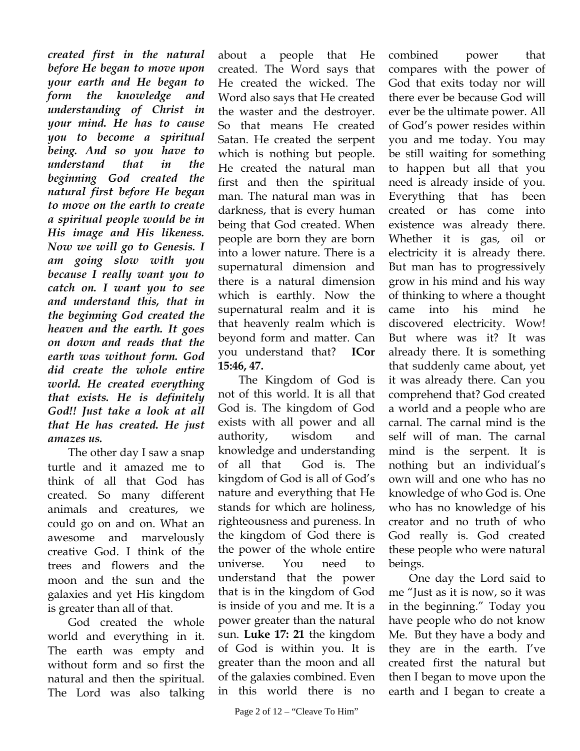*created first in the natural before He began to move upon your earth and He began to form the knowledge and understanding of Christ in your mind. He has to cause you to become a spiritual being. And so you have to understand that in the beginning God created the natural first before He began to move on the earth to create a spiritual people would be in His image and His likeness. Now we will go to Genesis. I am going slow with you because I really want you to catch on. I want you to see and understand this, that in the beginning God created the heaven and the earth. It goes on down and reads that the earth was without form. God did create the whole entire world. He created everything that exists. He is definitely God!! Just take a look at all that He has created. He just amazes us.* 

The other day I saw a snap turtle and it amazed me to think of all that God has created. So many different animals and creatures, we could go on and on. What an awesome and marvelously creative God. I think of the trees and flowers and the moon and the sun and the galaxies and yet His kingdom is greater than all of that.

God created the whole world and everything in it. The earth was empty and without form and so first the natural and then the spiritual. The Lord was also talking

about a people that He created. The Word says that He created the wicked. The Word also says that He created the waster and the destroyer. So that means He created Satan. He created the serpent which is nothing but people. He created the natural man first and then the spiritual man. The natural man was in darkness, that is every human being that God created. When people are born they are born into a lower nature. There is a supernatural dimension and there is a natural dimension which is earthly. Now the supernatural realm and it is that heavenly realm which is beyond form and matter. Can you understand that? **ICor 15:46, 47.** 

The Kingdom of God is not of this world. It is all that God is. The kingdom of God exists with all power and all authority, wisdom and knowledge and understanding of all that God is. The kingdom of God is all of God's nature and everything that He stands for which are holiness, righteousness and pureness. In the kingdom of God there is the power of the whole entire universe. You need to understand that the power that is in the kingdom of God is inside of you and me. It is a power greater than the natural sun. **Luke 17: 21** the kingdom of God is within you. It is greater than the moon and all of the galaxies combined. Even in this world there is no

combined power that compares with the power of God that exits today nor will there ever be because God will ever be the ultimate power. All of God's power resides within you and me today. You may be still waiting for something to happen but all that you need is already inside of you. Everything that has been created or has come into existence was already there. Whether it is gas, oil or electricity it is already there. But man has to progressively grow in his mind and his way of thinking to where a thought came into his mind he discovered electricity. Wow! But where was it? It was already there. It is something that suddenly came about, yet it was already there. Can you comprehend that? God created a world and a people who are carnal. The carnal mind is the self will of man. The carnal mind is the serpent. It is nothing but an individual's own will and one who has no knowledge of who God is. One who has no knowledge of his creator and no truth of who God really is. God created these people who were natural beings.

One day the Lord said to me "Just as it is now, so it was in the beginning." Today you have people who do not know Me. But they have a body and they are in the earth. I've created first the natural but then I began to move upon the earth and I began to create a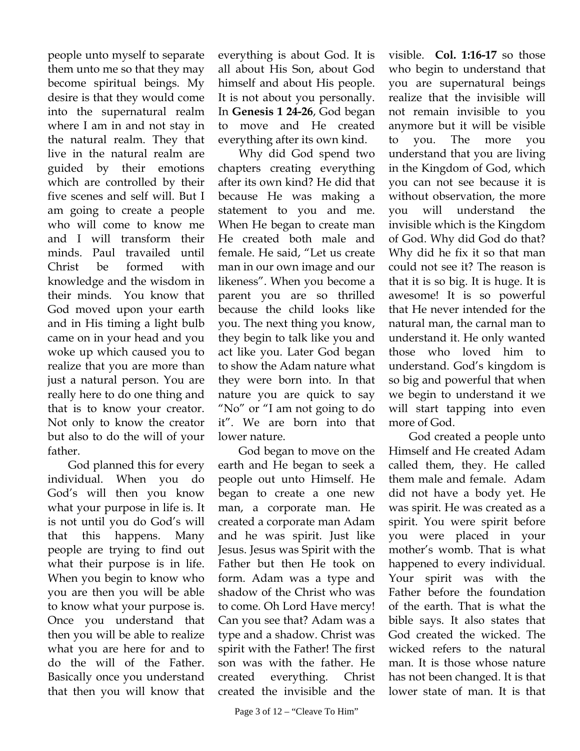people unto myself to separate them unto me so that they may become spiritual beings. My desire is that they would come into the supernatural realm where I am in and not stay in the natural realm. They that live in the natural realm are guided by their emotions which are controlled by their five scenes and self will. But I am going to create a people who will come to know me and I will transform their minds. Paul travailed until Christ be formed with knowledge and the wisdom in their minds. You know that God moved upon your earth and in His timing a light bulb came on in your head and you woke up which caused you to realize that you are more than just a natural person. You are really here to do one thing and that is to know your creator. Not only to know the creator but also to do the will of your father.

God planned this for every individual. When you do God's will then you know what your purpose in life is. It is not until you do God's will that this happens. Many people are trying to find out what their purpose is in life. When you begin to know who you are then you will be able to know what your purpose is. Once you understand that then you will be able to realize what you are here for and to do the will of the Father. Basically once you understand that then you will know that

everything is about God. It is all about His Son, about God himself and about His people. It is not about you personally. In **Genesis 1 24-26**, God began to move and He created everything after its own kind.

Why did God spend two chapters creating everything after its own kind? He did that because He was making a statement to you and me. When He began to create man He created both male and female. He said, "Let us create man in our own image and our likeness". When you become a parent you are so thrilled because the child looks like you. The next thing you know, they begin to talk like you and act like you. Later God began to show the Adam nature what they were born into. In that nature you are quick to say "No" or "I am not going to do it". We are born into that lower nature.

God began to move on the earth and He began to seek a people out unto Himself. He began to create a one new man, a corporate man. He created a corporate man Adam and he was spirit. Just like Jesus. Jesus was Spirit with the Father but then He took on form. Adam was a type and shadow of the Christ who was to come. Oh Lord Have mercy! Can you see that? Adam was a type and a shadow. Christ was spirit with the Father! The first son was with the father. He created everything. Christ created the invisible and the

visible. **Col. 1:16-17** so those who begin to understand that you are supernatural beings realize that the invisible will not remain invisible to you anymore but it will be visible to you. The more you understand that you are living in the Kingdom of God, which you can not see because it is without observation, the more you will understand the invisible which is the Kingdom of God. Why did God do that? Why did he fix it so that man could not see it? The reason is that it is so big. It is huge. It is awesome! It is so powerful that He never intended for the natural man, the carnal man to understand it. He only wanted those who loved him to understand. God's kingdom is so big and powerful that when we begin to understand it we will start tapping into even more of God.

God created a people unto Himself and He created Adam called them, they. He called them male and female. Adam did not have a body yet. He was spirit. He was created as a spirit. You were spirit before you were placed in your mother's womb. That is what happened to every individual. Your spirit was with the Father before the foundation of the earth. That is what the bible says. It also states that God created the wicked. The wicked refers to the natural man. It is those whose nature has not been changed. It is that lower state of man. It is that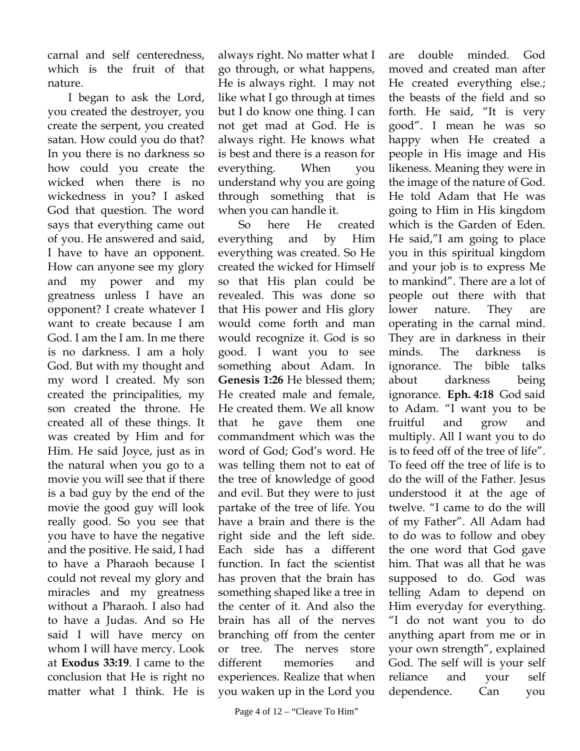carnal and self centeredness, which is the fruit of that nature.

I began to ask the Lord, you created the destroyer, you create the serpent, you created satan. How could you do that? In you there is no darkness so how could you create the wicked when there is no wickedness in you? I asked God that question. The word says that everything came out of you. He answered and said, I have to have an opponent. How can anyone see my glory and my power and my greatness unless I have an opponent? I create whatever I want to create because I am God. I am the I am. In me there is no darkness. I am a holy God. But with my thought and my word I created. My son created the principalities, my son created the throne. He created all of these things. It was created by Him and for Him. He said Joyce, just as in the natural when you go to a movie you will see that if there is a bad guy by the end of the movie the good guy will look really good. So you see that you have to have the negative and the positive. He said, I had to have a Pharaoh because I could not reveal my glory and miracles and my greatness without a Pharaoh. I also had to have a Judas. And so He said I will have mercy on whom I will have mercy. Look at **Exodus 33:19**. I came to the conclusion that He is right no matter what I think. He is

always right. No matter what I go through, or what happens, He is always right. I may not like what I go through at times but I do know one thing. I can not get mad at God. He is always right. He knows what is best and there is a reason for everything. When you understand why you are going through something that is when you can handle it.

So here He created everything and by Him everything was created. So He created the wicked for Himself so that His plan could be revealed. This was done so that His power and His glory would come forth and man would recognize it. God is so good. I want you to see something about Adam. In **Genesis 1:26** He blessed them; He created male and female, He created them. We all know that he gave them one commandment which was the word of God; God's word. He was telling them not to eat of the tree of knowledge of good and evil. But they were to just partake of the tree of life. You have a brain and there is the right side and the left side. Each side has a different function. In fact the scientist has proven that the brain has something shaped like a tree in the center of it. And also the brain has all of the nerves branching off from the center or tree. The nerves store different memories and experiences. Realize that when you waken up in the Lord you

are double minded. God moved and created man after He created everything else.; the beasts of the field and so forth. He said, "It is very good". I mean he was so happy when He created a people in His image and His likeness. Meaning they were in the image of the nature of God. He told Adam that He was going to Him in His kingdom which is the Garden of Eden. He said,"I am going to place you in this spiritual kingdom and your job is to express Me to mankind". There are a lot of people out there with that lower nature. They are operating in the carnal mind. They are in darkness in their minds. The darkness is ignorance. The bible talks about darkness being ignorance. **Eph. 4:18** God said to Adam. "I want you to be fruitful and grow and multiply. All I want you to do is to feed off of the tree of life". To feed off the tree of life is to do the will of the Father. Jesus understood it at the age of twelve. "I came to do the will of my Father". All Adam had to do was to follow and obey the one word that God gave him. That was all that he was supposed to do. God was telling Adam to depend on Him everyday for everything. "I do not want you to do anything apart from me or in your own strength", explained God. The self will is your self reliance and your self dependence. Can you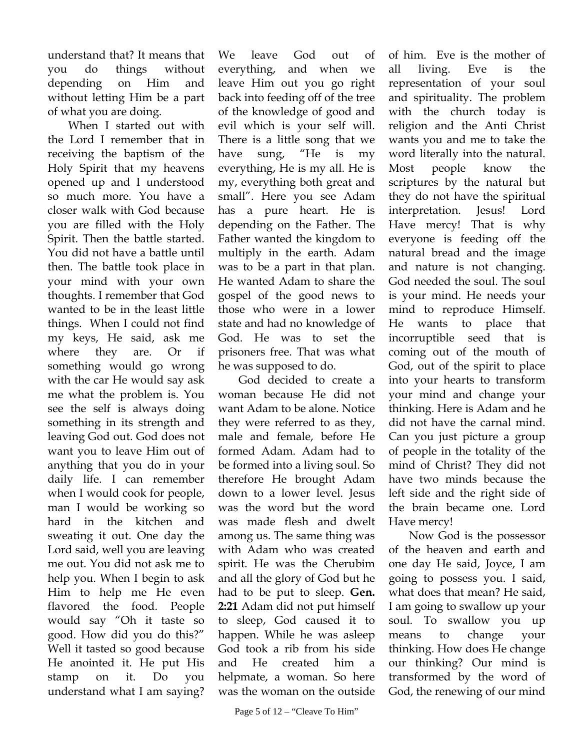understand that? It means that you do things without depending on Him and without letting Him be a part of what you are doing.

When I started out with the Lord I remember that in receiving the baptism of the Holy Spirit that my heavens opened up and I understood so much more. You have a closer walk with God because you are filled with the Holy Spirit. Then the battle started. You did not have a battle until then. The battle took place in your mind with your own thoughts. I remember that God wanted to be in the least little things. When I could not find my keys, He said, ask me where they are. Or if something would go wrong with the car He would say ask me what the problem is. You see the self is always doing something in its strength and leaving God out. God does not want you to leave Him out of anything that you do in your daily life. I can remember when I would cook for people, man I would be working so hard in the kitchen and sweating it out. One day the Lord said, well you are leaving me out. You did not ask me to help you. When I begin to ask Him to help me He even flavored the food. People would say "Oh it taste so good. How did you do this?" Well it tasted so good because He anointed it. He put His stamp on it. Do you understand what I am saying?

We leave God out of everything, and when we leave Him out you go right back into feeding off of the tree of the knowledge of good and evil which is your self will. There is a little song that we have sung, "He is my everything, He is my all. He is my, everything both great and small". Here you see Adam has a pure heart. He is depending on the Father. The Father wanted the kingdom to multiply in the earth. Adam was to be a part in that plan. He wanted Adam to share the gospel of the good news to those who were in a lower state and had no knowledge of God. He was to set the prisoners free. That was what he was supposed to do.

God decided to create a woman because He did not want Adam to be alone. Notice they were referred to as they, male and female, before He formed Adam. Adam had to be formed into a living soul. So therefore He brought Adam down to a lower level. Jesus was the word but the word was made flesh and dwelt among us. The same thing was with Adam who was created spirit. He was the Cherubim and all the glory of God but he had to be put to sleep. **Gen. 2:21** Adam did not put himself to sleep, God caused it to happen. While he was asleep God took a rib from his side and He created him a helpmate, a woman. So here was the woman on the outside

of him. Eve is the mother of all living. Eve is the representation of your soul and spirituality. The problem with the church today is religion and the Anti Christ wants you and me to take the word literally into the natural. Most people know the scriptures by the natural but they do not have the spiritual interpretation. Jesus! Lord Have mercy! That is why everyone is feeding off the natural bread and the image and nature is not changing. God needed the soul. The soul is your mind. He needs your mind to reproduce Himself. He wants to place that incorruptible seed that is coming out of the mouth of God, out of the spirit to place into your hearts to transform your mind and change your thinking. Here is Adam and he did not have the carnal mind. Can you just picture a group of people in the totality of the mind of Christ? They did not have two minds because the left side and the right side of the brain became one. Lord Have mercy!

Now God is the possessor of the heaven and earth and one day He said, Joyce, I am going to possess you. I said, what does that mean? He said, I am going to swallow up your soul. To swallow you up means to change your thinking. How does He change our thinking? Our mind is transformed by the word of God, the renewing of our mind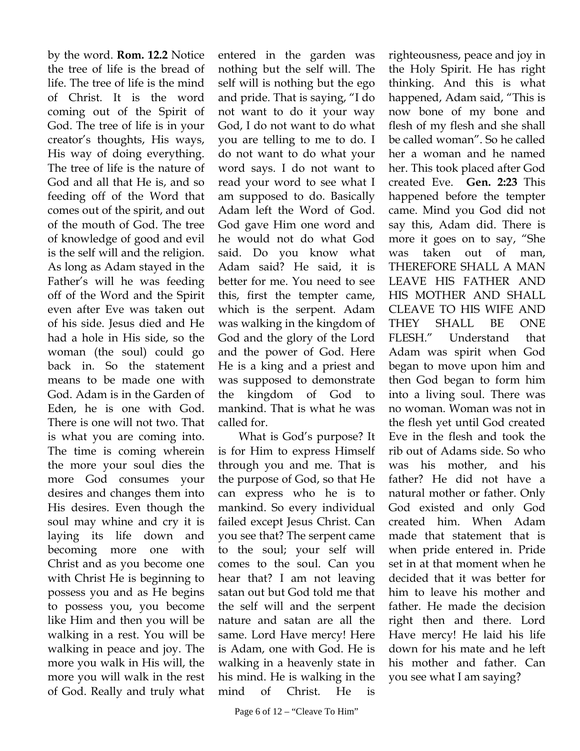by the word. **Rom. 12.2** Notice the tree of life is the bread of life. The tree of life is the mind of Christ. It is the word coming out of the Spirit of God. The tree of life is in your creator's thoughts, His ways, His way of doing everything. The tree of life is the nature of God and all that He is, and so feeding off of the Word that comes out of the spirit, and out of the mouth of God. The tree of knowledge of good and evil is the self will and the religion. As long as Adam stayed in the Father's will he was feeding off of the Word and the Spirit even after Eve was taken out of his side. Jesus died and He had a hole in His side, so the woman (the soul) could go back in. So the statement means to be made one with God. Adam is in the Garden of Eden, he is one with God. There is one will not two. That is what you are coming into. The time is coming wherein the more your soul dies the more God consumes your desires and changes them into His desires. Even though the soul may whine and cry it is laying its life down and becoming more one with Christ and as you become one with Christ He is beginning to possess you and as He begins to possess you, you become like Him and then you will be walking in a rest. You will be walking in peace and joy. The more you walk in His will, the more you will walk in the rest of God. Really and truly what

entered in the garden was nothing but the self will. The self will is nothing but the ego and pride. That is saying, "I do not want to do it your way God, I do not want to do what you are telling to me to do. I do not want to do what your word says. I do not want to read your word to see what I am supposed to do. Basically Adam left the Word of God. God gave Him one word and he would not do what God said. Do you know what Adam said? He said, it is better for me. You need to see this, first the tempter came, which is the serpent. Adam was walking in the kingdom of God and the glory of the Lord and the power of God. Here He is a king and a priest and was supposed to demonstrate the kingdom of God to mankind. That is what he was called for.

What is God's purpose? It is for Him to express Himself through you and me. That is the purpose of God, so that He can express who he is to mankind. So every individual failed except Jesus Christ. Can you see that? The serpent came to the soul; your self will comes to the soul. Can you hear that? I am not leaving satan out but God told me that the self will and the serpent nature and satan are all the same. Lord Have mercy! Here is Adam, one with God. He is walking in a heavenly state in his mind. He is walking in the mind of Christ. He is

righteousness, peace and joy in the Holy Spirit. He has right thinking. And this is what happened, Adam said, "This is now bone of my bone and flesh of my flesh and she shall be called woman". So he called her a woman and he named her. This took placed after God created Eve. **Gen. 2:23** This happened before the tempter came. Mind you God did not say this, Adam did. There is more it goes on to say, "She was taken out of man, THEREFORE SHALL A MAN LEAVE HIS FATHER AND HIS MOTHER AND SHALL CLEAVE TO HIS WIFE AND THEY SHALL BE ONE FLESH." Understand that Adam was spirit when God began to move upon him and then God began to form him into a living soul. There was no woman. Woman was not in the flesh yet until God created Eve in the flesh and took the rib out of Adams side. So who was his mother, and his father? He did not have a natural mother or father. Only God existed and only God created him. When Adam made that statement that is when pride entered in. Pride set in at that moment when he decided that it was better for him to leave his mother and father. He made the decision right then and there. Lord Have mercy! He laid his life down for his mate and he left his mother and father. Can you see what I am saying?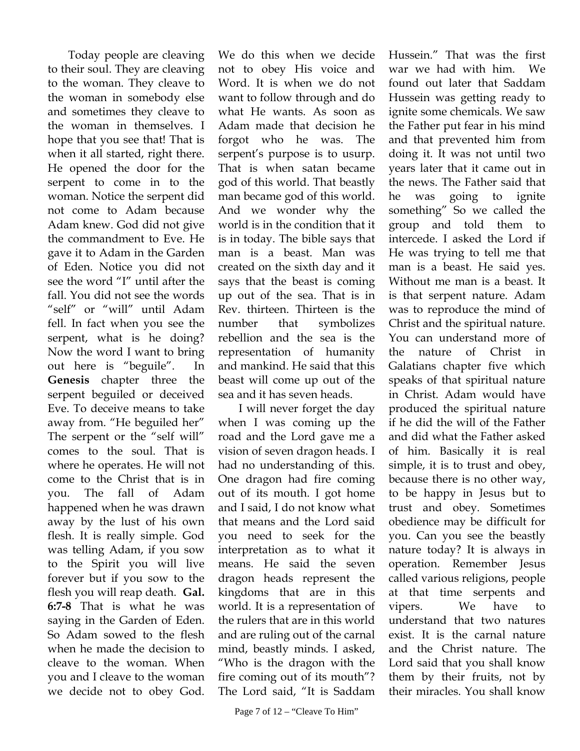Today people are cleaving to their soul. They are cleaving to the woman. They cleave to the woman in somebody else and sometimes they cleave to the woman in themselves. I hope that you see that! That is when it all started, right there. He opened the door for the serpent to come in to the woman. Notice the serpent did not come to Adam because Adam knew. God did not give the commandment to Eve. He gave it to Adam in the Garden of Eden. Notice you did not see the word "I" until after the fall. You did not see the words "self" or "will" until Adam fell. In fact when you see the serpent, what is he doing? Now the word I want to bring out here is "beguile". In **Genesis** chapter three the serpent beguiled or deceived Eve. To deceive means to take away from. "He beguiled her" The serpent or the "self will" comes to the soul. That is where he operates. He will not come to the Christ that is in you. The fall of Adam happened when he was drawn away by the lust of his own flesh. It is really simple. God was telling Adam, if you sow to the Spirit you will live forever but if you sow to the flesh you will reap death. **Gal. 6:7-8** That is what he was saying in the Garden of Eden. So Adam sowed to the flesh when he made the decision to cleave to the woman. When you and I cleave to the woman we decide not to obey God.

We do this when we decide not to obey His voice and Word. It is when we do not want to follow through and do what He wants. As soon as Adam made that decision he forgot who he was. The serpent's purpose is to usurp. That is when satan became god of this world. That beastly man became god of this world. And we wonder why the world is in the condition that it is in today. The bible says that man is a beast. Man was created on the sixth day and it says that the beast is coming up out of the sea. That is in Rev. thirteen. Thirteen is the number that symbolizes rebellion and the sea is the representation of humanity and mankind. He said that this beast will come up out of the sea and it has seven heads.

I will never forget the day when I was coming up the road and the Lord gave me a vision of seven dragon heads. I had no understanding of this. One dragon had fire coming out of its mouth. I got home and I said, I do not know what that means and the Lord said you need to seek for the interpretation as to what it means. He said the seven dragon heads represent the kingdoms that are in this world. It is a representation of the rulers that are in this world and are ruling out of the carnal mind, beastly minds. I asked, "Who is the dragon with the fire coming out of its mouth"? The Lord said, "It is Saddam

Page 7 of  $12 -$  "Cleave To Him"

Hussein." That was the first war we had with him. We found out later that Saddam Hussein was getting ready to ignite some chemicals. We saw the Father put fear in his mind and that prevented him from doing it. It was not until two years later that it came out in the news. The Father said that he was going to ignite something" So we called the group and told them to intercede. I asked the Lord if He was trying to tell me that man is a beast. He said yes. Without me man is a beast. It is that serpent nature. Adam was to reproduce the mind of Christ and the spiritual nature. You can understand more of the nature of Christ in Galatians chapter five which speaks of that spiritual nature in Christ. Adam would have produced the spiritual nature if he did the will of the Father and did what the Father asked of him. Basically it is real simple, it is to trust and obey, because there is no other way, to be happy in Jesus but to trust and obey. Sometimes obedience may be difficult for you. Can you see the beastly nature today? It is always in operation. Remember Jesus called various religions, people at that time serpents and vipers. We have to understand that two natures exist. It is the carnal nature and the Christ nature. The Lord said that you shall know them by their fruits, not by their miracles. You shall know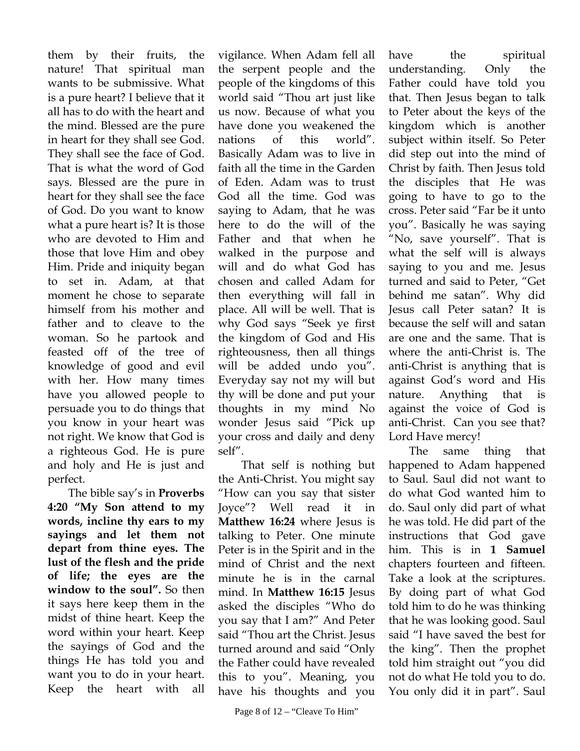them by their fruits, the nature! That spiritual man wants to be submissive. What is a pure heart? I believe that it all has to do with the heart and the mind. Blessed are the pure in heart for they shall see God. They shall see the face of God. That is what the word of God says. Blessed are the pure in heart for they shall see the face of God. Do you want to know what a pure heart is? It is those who are devoted to Him and those that love Him and obey Him. Pride and iniquity began to set in. Adam, at that moment he chose to separate himself from his mother and father and to cleave to the woman. So he partook and feasted off of the tree of knowledge of good and evil with her. How many times have you allowed people to persuade you to do things that you know in your heart was not right. We know that God is a righteous God. He is pure and holy and He is just and perfect.

The bible say's in **Proverbs 4:20 "My Son attend to my words, incline thy ears to my sayings and let them not depart from thine eyes. The lust of the flesh and the pride of life; the eyes are the window to the soul".** So then it says here keep them in the midst of thine heart. Keep the word within your heart. Keep the sayings of God and the things He has told you and want you to do in your heart. Keep the heart with all

vigilance. When Adam fell all the serpent people and the people of the kingdoms of this world said "Thou art just like us now. Because of what you have done you weakened the nations of this world". Basically Adam was to live in faith all the time in the Garden of Eden. Adam was to trust God all the time. God was saying to Adam, that he was here to do the will of the Father and that when he walked in the purpose and will and do what God has chosen and called Adam for then everything will fall in place. All will be well. That is why God says "Seek ye first the kingdom of God and His righteousness, then all things will be added undo you". Everyday say not my will but thy will be done and put your thoughts in my mind No wonder Jesus said "Pick up your cross and daily and deny self".

 That self is nothing but the Anti-Christ. You might say "How can you say that sister Joyce"? Well read it in **Matthew 16:24** where Jesus is talking to Peter. One minute Peter is in the Spirit and in the mind of Christ and the next minute he is in the carnal mind. In **Matthew 16:15** Jesus asked the disciples "Who do you say that I am?" And Peter said "Thou art the Christ. Jesus turned around and said "Only the Father could have revealed this to you". Meaning, you have his thoughts and you

have the spiritual understanding. Only the Father could have told you that. Then Jesus began to talk to Peter about the keys of the kingdom which is another subject within itself. So Peter did step out into the mind of Christ by faith. Then Jesus told the disciples that He was going to have to go to the cross. Peter said "Far be it unto you". Basically he was saying "No, save yourself". That is what the self will is always saying to you and me. Jesus turned and said to Peter, "Get behind me satan". Why did Jesus call Peter satan? It is because the self will and satan are one and the same. That is where the anti-Christ is. The anti-Christ is anything that is against God's word and His nature. Anything that is against the voice of God is anti-Christ. Can you see that? Lord Have mercy!

The same thing that happened to Adam happened to Saul. Saul did not want to do what God wanted him to do. Saul only did part of what he was told. He did part of the instructions that God gave him. This is in **1 Samuel** chapters fourteen and fifteen. Take a look at the scriptures. By doing part of what God told him to do he was thinking that he was looking good. Saul said "I have saved the best for the king". Then the prophet told him straight out "you did not do what He told you to do. You only did it in part". Saul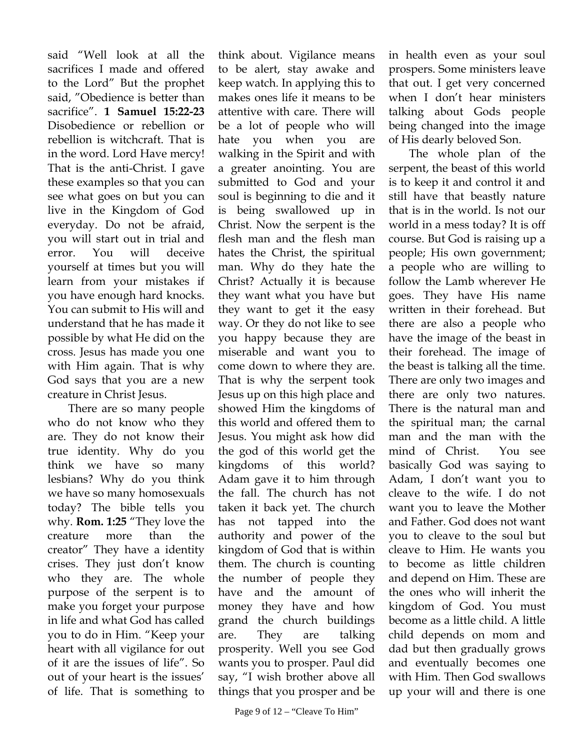said "Well look at all the sacrifices I made and offered to the Lord" But the prophet said, "Obedience is better than sacrifice". **1 Samuel 15:22-23** Disobedience or rebellion or rebellion is witchcraft. That is in the word. Lord Have mercy! That is the anti-Christ. I gave these examples so that you can see what goes on but you can live in the Kingdom of God everyday. Do not be afraid, you will start out in trial and error. You will deceive yourself at times but you will learn from your mistakes if you have enough hard knocks. You can submit to His will and understand that he has made it possible by what He did on the cross. Jesus has made you one with Him again. That is why God says that you are a new creature in Christ Jesus.

There are so many people who do not know who they are. They do not know their true identity. Why do you think we have so many lesbians? Why do you think we have so many homosexuals today? The bible tells you why. **Rom. 1:25** "They love the creature more than the creator" They have a identity crises. They just don't know who they are. The whole purpose of the serpent is to make you forget your purpose in life and what God has called you to do in Him. "Keep your heart with all vigilance for out of it are the issues of life". So out of your heart is the issues' of life. That is something to

think about. Vigilance means to be alert, stay awake and keep watch. In applying this to makes ones life it means to be attentive with care. There will be a lot of people who will hate you when you are walking in the Spirit and with a greater anointing. You are submitted to God and your soul is beginning to die and it is being swallowed up in Christ. Now the serpent is the flesh man and the flesh man hates the Christ, the spiritual man. Why do they hate the Christ? Actually it is because they want what you have but they want to get it the easy way. Or they do not like to see you happy because they are miserable and want you to come down to where they are. That is why the serpent took Jesus up on this high place and showed Him the kingdoms of this world and offered them to Jesus. You might ask how did the god of this world get the kingdoms of this world? Adam gave it to him through the fall. The church has not taken it back yet. The church has not tapped into the authority and power of the kingdom of God that is within them. The church is counting the number of people they have and the amount of money they have and how grand the church buildings are. They are talking prosperity. Well you see God wants you to prosper. Paul did say, "I wish brother above all things that you prosper and be

Page 9 of  $12 -$  "Cleave To Him"

in health even as your soul prospers. Some ministers leave that out. I get very concerned when I don't hear ministers talking about Gods people being changed into the image of His dearly beloved Son.

The whole plan of the serpent, the beast of this world is to keep it and control it and still have that beastly nature that is in the world. Is not our world in a mess today? It is off course. But God is raising up a people; His own government; a people who are willing to follow the Lamb wherever He goes. They have His name written in their forehead. But there are also a people who have the image of the beast in their forehead. The image of the beast is talking all the time. There are only two images and there are only two natures. There is the natural man and the spiritual man; the carnal man and the man with the mind of Christ. You see basically God was saying to Adam, I don't want you to cleave to the wife. I do not want you to leave the Mother and Father. God does not want you to cleave to the soul but cleave to Him. He wants you to become as little children and depend on Him. These are the ones who will inherit the kingdom of God. You must become as a little child. A little child depends on mom and dad but then gradually grows and eventually becomes one with Him. Then God swallows up your will and there is one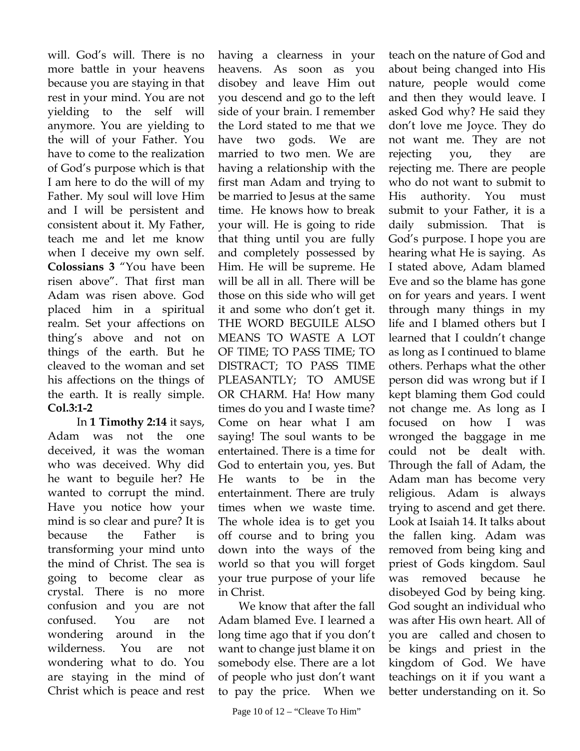will. God's will. There is no more battle in your heavens because you are staying in that rest in your mind. You are not yielding to the self will anymore. You are yielding to the will of your Father. You have to come to the realization of God's purpose which is that I am here to do the will of my Father. My soul will love Him and I will be persistent and consistent about it. My Father, teach me and let me know when I deceive my own self. **Colossians 3** "You have been risen above". That first man Adam was risen above. God placed him in a spiritual realm. Set your affections on thing's above and not on things of the earth. But he cleaved to the woman and set his affections on the things of the earth. It is really simple. **Col.3:1-2**

 In **1 Timothy 2:14** it says, Adam was not the one deceived, it was the woman who was deceived. Why did he want to beguile her? He wanted to corrupt the mind. Have you notice how your mind is so clear and pure? It is because the Father is transforming your mind unto the mind of Christ. The sea is going to become clear as crystal. There is no more confusion and you are not confused. You are not wondering around in the wilderness. You are not wondering what to do. You are staying in the mind of Christ which is peace and rest

having a clearness in your heavens. As soon as you disobey and leave Him out you descend and go to the left side of your brain. I remember the Lord stated to me that we have two gods. We are married to two men. We are having a relationship with the first man Adam and trying to be married to Jesus at the same time. He knows how to break your will. He is going to ride that thing until you are fully and completely possessed by Him. He will be supreme. He will be all in all. There will be those on this side who will get it and some who don't get it. THE WORD BEGUILE ALSO MEANS TO WASTE A LOT OF TIME; TO PASS TIME; TO DISTRACT; TO PASS TIME PLEASANTLY; TO AMUSE OR CHARM. Ha! How many times do you and I waste time? Come on hear what I am saying! The soul wants to be entertained. There is a time for God to entertain you, yes. But He wants to be in the entertainment. There are truly times when we waste time. The whole idea is to get you off course and to bring you down into the ways of the world so that you will forget your true purpose of your life in Christ.

We know that after the fall Adam blamed Eve. I learned a long time ago that if you don't want to change just blame it on somebody else. There are a lot of people who just don't want to pay the price. When we

teach on the nature of God and about being changed into His nature, people would come and then they would leave. I asked God why? He said they don't love me Joyce. They do not want me. They are not rejecting you, they are rejecting me. There are people who do not want to submit to His authority. You must submit to your Father, it is a daily submission. That is God's purpose. I hope you are hearing what He is saying. As I stated above, Adam blamed Eve and so the blame has gone on for years and years. I went through many things in my life and I blamed others but I learned that I couldn't change as long as I continued to blame others. Perhaps what the other person did was wrong but if I kept blaming them God could not change me. As long as I focused on how I was wronged the baggage in me could not be dealt with. Through the fall of Adam, the Adam man has become very religious. Adam is always trying to ascend and get there. Look at Isaiah 14. It talks about the fallen king. Adam was removed from being king and priest of Gods kingdom. Saul was removed because he disobeyed God by being king. God sought an individual who was after His own heart. All of you are called and chosen to be kings and priest in the kingdom of God. We have teachings on it if you want a better understanding on it. So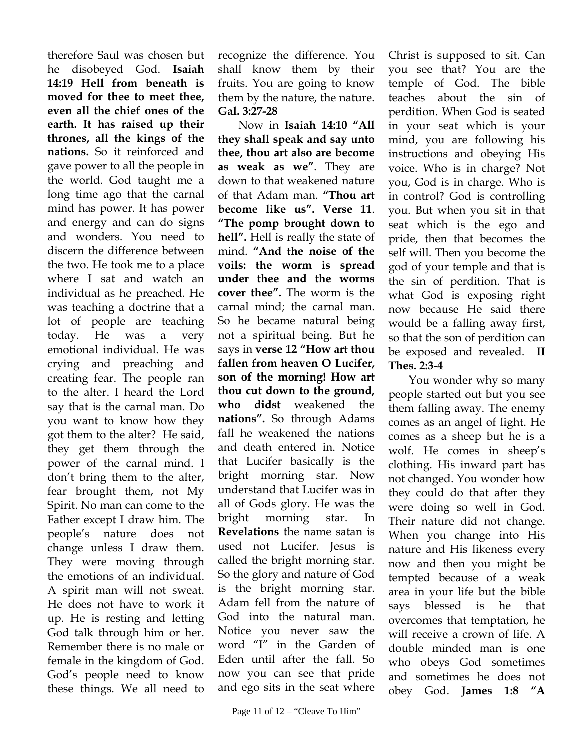therefore Saul was chosen but he disobeyed God. **Isaiah 14:19 Hell from beneath is moved for thee to meet thee, even all the chief ones of the earth. It has raised up their thrones, all the kings of the nations.** So it reinforced and gave power to all the people in the world. God taught me a long time ago that the carnal mind has power. It has power and energy and can do signs and wonders. You need to discern the difference between the two. He took me to a place where I sat and watch an individual as he preached. He was teaching a doctrine that a lot of people are teaching today. He was a very emotional individual. He was crying and preaching and creating fear. The people ran to the alter. I heard the Lord say that is the carnal man. Do you want to know how they got them to the alter? He said, they get them through the power of the carnal mind. I don't bring them to the alter, fear brought them, not My Spirit. No man can come to the Father except I draw him. The people's nature does not change unless I draw them. They were moving through the emotions of an individual. A spirit man will not sweat. He does not have to work it up. He is resting and letting God talk through him or her. Remember there is no male or female in the kingdom of God. God's people need to know these things. We all need to

recognize the difference. You shall know them by their fruits. You are going to know them by the nature, the nature. **Gal. 3:27-28** 

Now in **Isaiah 14:10 "All they shall speak and say unto thee, thou art also are become as weak as we"**. They are down to that weakened nature of that Adam man. **"Thou art become like us". Verse 11**. **"The pomp brought down to hell".** Hell is really the state of mind. **"And the noise of the voils: the worm is spread under thee and the worms cover thee".** The worm is the carnal mind; the carnal man. So he became natural being not a spiritual being. But he says in **verse 12 "How art thou fallen from heaven O Lucifer, son of the morning! How art thou cut down to the ground, who didst** weakened the **nations".** So through Adams fall he weakened the nations and death entered in. Notice that Lucifer basically is the bright morning star. Now understand that Lucifer was in all of Gods glory. He was the bright morning star. In **Revelations** the name satan is used not Lucifer. Jesus is called the bright morning star. So the glory and nature of God is the bright morning star. Adam fell from the nature of God into the natural man. Notice you never saw the word "I" in the Garden of Eden until after the fall. So now you can see that pride and ego sits in the seat where

Christ is supposed to sit. Can you see that? You are the temple of God. The bible teaches about the sin of perdition. When God is seated in your seat which is your mind, you are following his instructions and obeying His voice. Who is in charge? Not you, God is in charge. Who is in control? God is controlling you. But when you sit in that seat which is the ego and pride, then that becomes the self will. Then you become the god of your temple and that is the sin of perdition. That is what God is exposing right now because He said there would be a falling away first, so that the son of perdition can be exposed and revealed. **II Thes. 2:3-4** 

You wonder why so many people started out but you see them falling away. The enemy comes as an angel of light. He comes as a sheep but he is a wolf. He comes in sheep's clothing. His inward part has not changed. You wonder how they could do that after they were doing so well in God. Their nature did not change. When you change into His nature and His likeness every now and then you might be tempted because of a weak area in your life but the bible says blessed is he that overcomes that temptation, he will receive a crown of life. A double minded man is one who obeys God sometimes and sometimes he does not obey God. **James 1:8 "A**